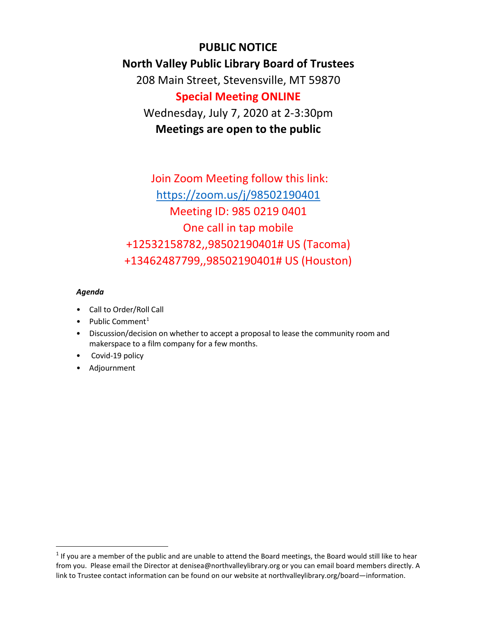**PUBLIC NOTICE North Valley Public Library Board of Trustees**  208 Main Street, Stevensville, MT 59870 **Special Meeting ONLINE**  Wednesday, July 7, 2020 at 2-3:30pm **Meetings are open to the public**

Join Zoom Meeting follow this link: <https://zoom.us/j/98502190401> Meeting ID: 985 0219 0401 One call in tap mobile +12532158782,,98502190401# US (Tacoma) +13462487799,,98502190401# US (Houston)

## *Agenda*

- Call to Order/Roll Call
- Public Comment<sup>[1](#page-0-0)</sup>
- Discussion/decision on whether to accept a proposal to lease the community room and makerspace to a film company for a few months.
- Covid-19 policy
- Adjournment

<span id="page-0-0"></span> $1$  If you are a member of the public and are unable to attend the Board meetings, the Board would still like to hear from you. Please email the Director at denisea@northvalleylibrary.org or you can email board members directly. A link to Trustee contact information can be found on our website at northvalleylibrary.org/board—information.